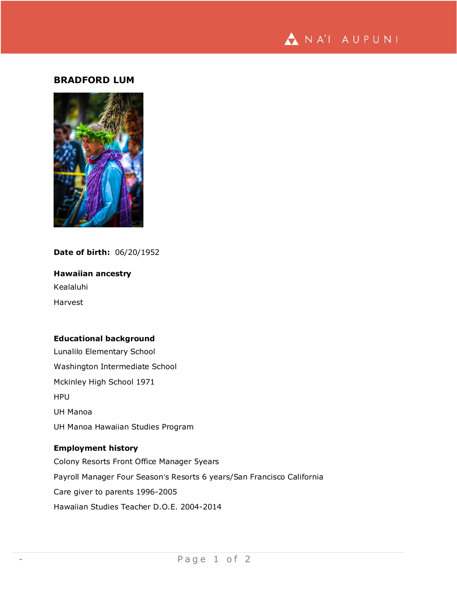

# **BRADFORD LUM**



## **Date of birth:** 06/20/1952

**Hawaiian ancestry** Kealaluhi Harvest

## **Educational background**

Lunalilo Elementary School Washington Intermediate School Mckinley High School 1971 HPU UH Manoa UH Manoa Hawaiian Studies Program

# **Employment history**

Colony Resorts Front Office Manager 5years Payroll Manager Four Seasonʻs Resorts 6 years/San Francisco California Care giver to parents 1996-2005 Hawaiian Studies Teacher D.O.E. 2004-2014